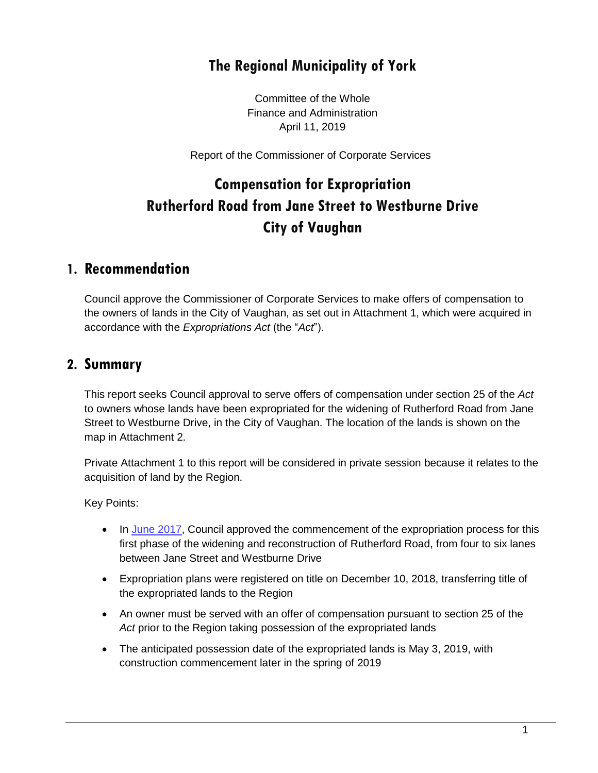## **The Regional Municipality of York**

Committee of the Whole Finance and Administration April 11, 2019

Report of the Commissioner of Corporate Services

# **Compensation for Expropriation Rutherford Road from Jane Street to Westburne Drive City of Vaughan**

#### **1. Recommendation**

Council approve the Commissioner of Corporate Services to make offers of compensation to the owners of lands in the City of Vaughan, as set out in Attachment 1, which were acquired in accordance with the *Expropriations Act* (the "*Act*").

#### **2. Summary**

This report seeks Council approval to serve offers of compensation under section 25 of the *Act* to owners whose lands have been expropriated for the widening of Rutherford Road from Jane Street to Westburne Drive, in the City of Vaughan. The location of the lands is shown on the map in Attachment 2.

Private Attachment 1 to this report will be considered in private session because it relates to the acquisition of land by the Region.

Key Points:

- In [June 2017,](https://www.york.ca/wps/wcm/connect/yorkpublic/e5b57684-5003-437a-ba99-2d1085c9969c/jun+22+rutherford+ex.pdf?MOD=AJPERES) Council approved the commencement of the expropriation process for this first phase of the widening and reconstruction of Rutherford Road, from four to six lanes between Jane Street and Westburne Drive
- Expropriation plans were registered on title on December 10, 2018, transferring title of the expropriated lands to the Region
- An owner must be served with an offer of compensation pursuant to section 25 of the *Act* prior to the Region taking possession of the expropriated lands
- The anticipated possession date of the expropriated lands is May 3, 2019, with construction commencement later in the spring of 2019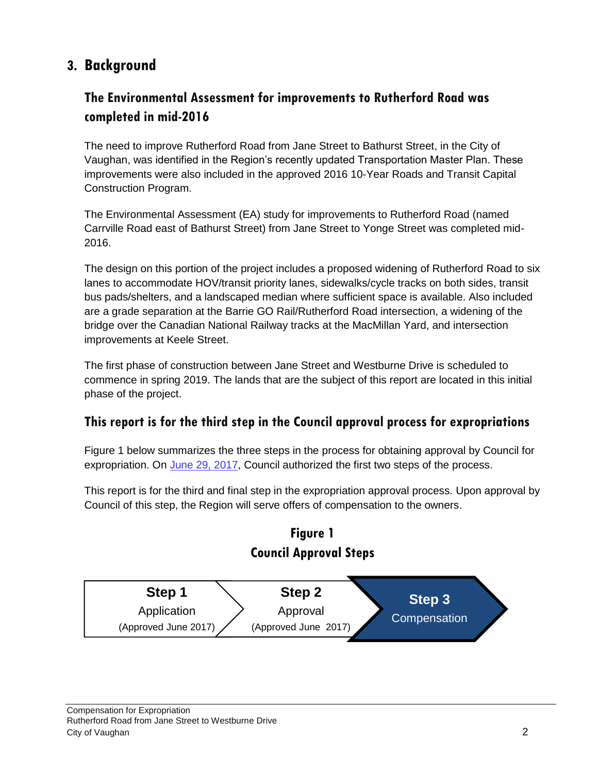## **3. Background**

### **The Environmental Assessment for improvements to Rutherford Road was completed in mid-2016**

The need to improve Rutherford Road from Jane Street to Bathurst Street, in the City of Vaughan, was identified in the Region's recently updated Transportation Master Plan. These improvements were also included in the approved 2016 10-Year Roads and Transit Capital Construction Program.

The Environmental Assessment (EA) study for improvements to Rutherford Road (named Carrville Road east of Bathurst Street) from Jane Street to Yonge Street was completed mid-2016.

The design on this portion of the project includes a proposed widening of Rutherford Road to six lanes to accommodate HOV/transit priority lanes, sidewalks/cycle tracks on both sides, transit bus pads/shelters, and a landscaped median where sufficient space is available. Also included are a grade separation at the Barrie GO Rail/Rutherford Road intersection, a widening of the bridge over the Canadian National Railway tracks at the MacMillan Yard, and intersection improvements at Keele Street.

The first phase of construction between Jane Street and Westburne Drive is scheduled to commence in spring 2019. The lands that are the subject of this report are located in this initial phase of the project.

#### **This report is for the third step in the Council approval process for expropriations**

Figure 1 below summarizes the three steps in the process for obtaining approval by Council for expropriation. On [June 29, 2017,](https://www.york.ca/wps/wcm/connect/yorkpublic/e5b57684-5003-437a-ba99-2d1085c9969c/jun+22+rutherford+ex.pdf?MOD=AJPERES) Council authorized the first two steps of the process.

This report is for the third and final step in the expropriation approval process. Upon approval by Council of this step, the Region will serve offers of compensation to the owners.

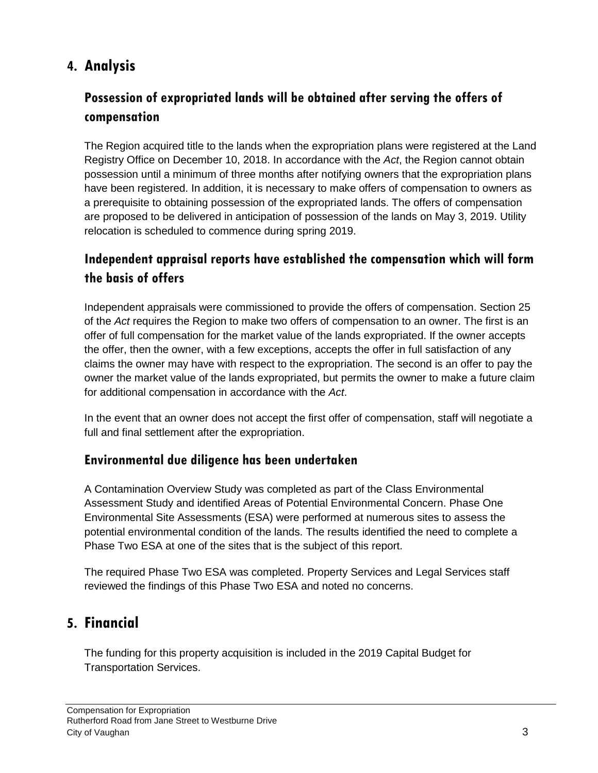## **4. Analysis**

## **Possession of expropriated lands will be obtained after serving the offers of compensation**

The Region acquired title to the lands when the expropriation plans were registered at the Land Registry Office on December 10, 2018. In accordance with the *Act*, the Region cannot obtain possession until a minimum of three months after notifying owners that the expropriation plans have been registered. In addition, it is necessary to make offers of compensation to owners as a prerequisite to obtaining possession of the expropriated lands. The offers of compensation are proposed to be delivered in anticipation of possession of the lands on May 3, 2019. Utility relocation is scheduled to commence during spring 2019.

### **Independent appraisal reports have established the compensation which will form the basis of offers**

Independent appraisals were commissioned to provide the offers of compensation. Section 25 of the *Act* requires the Region to make two offers of compensation to an owner. The first is an offer of full compensation for the market value of the lands expropriated. If the owner accepts the offer, then the owner, with a few exceptions, accepts the offer in full satisfaction of any claims the owner may have with respect to the expropriation. The second is an offer to pay the owner the market value of the lands expropriated, but permits the owner to make a future claim for additional compensation in accordance with the *Act*.

In the event that an owner does not accept the first offer of compensation, staff will negotiate a full and final settlement after the expropriation.

#### **Environmental due diligence has been undertaken**

A Contamination Overview Study was completed as part of the Class Environmental Assessment Study and identified Areas of Potential Environmental Concern. Phase One Environmental Site Assessments (ESA) were performed at numerous sites to assess the potential environmental condition of the lands. The results identified the need to complete a Phase Two ESA at one of the sites that is the subject of this report.

The required Phase Two ESA was completed. Property Services and Legal Services staff reviewed the findings of this Phase Two ESA and noted no concerns.

## **5. Financial**

The funding for this property acquisition is included in the 2019 Capital Budget for Transportation Services.